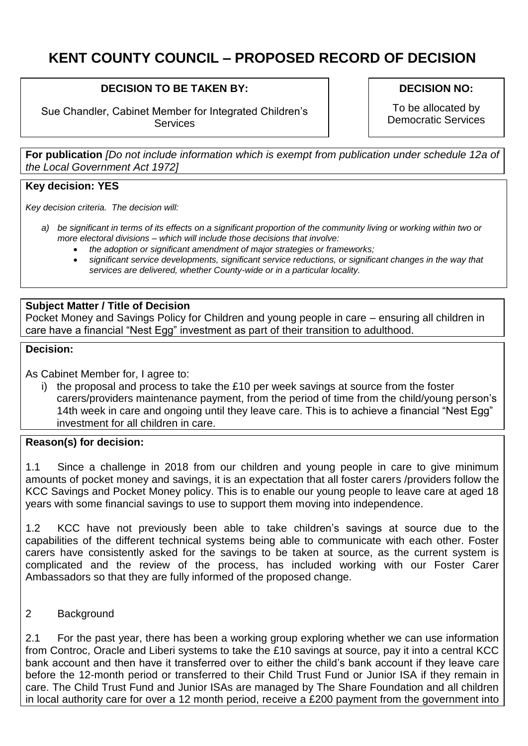# **KENT COUNTY COUNCIL – PROPOSED RECORD OF DECISION**

# **DECISION TO BE TAKEN BY:**

Sue Chandler, Cabinet Member for Integrated Children's **Services** 

#### **DECISION NO:**

To be allocated by Democratic Services

**For publication** *[Do not include information which is exempt from publication under schedule 12a of the Local Government Act 1972]*

## **Key decision: YES**

*Key decision criteria. The decision will:*

- *a) be significant in terms of its effects on a significant proportion of the community living or working within two or more electoral divisions – which will include those decisions that involve:*
	- *the adoption or significant amendment of major strategies or frameworks;*
	- *significant service developments, significant service reductions, or significant changes in the way that services are delivered, whether County-wide or in a particular locality.*

# **Subject Matter / Title of Decision**

Pocket Money and Savings Policy for Children and young people in care – ensuring all children in care have a financial "Nest Egg" investment as part of their transition to adulthood.

#### **Decision:**

As Cabinet Member for, I agree to:

i) the proposal and process to take the £10 per week savings at source from the foster carers/providers maintenance payment, from the period of time from the child/young person's 14th week in care and ongoing until they leave care. This is to achieve a financial "Nest Egg" investment for all children in care.

### **Reason(s) for decision:**

1.1 Since a challenge in 2018 from our children and young people in care to give minimum amounts of pocket money and savings, it is an expectation that all foster carers /providers follow the KCC Savings and Pocket Money policy. This is to enable our young people to leave care at aged 18 years with some financial savings to use to support them moving into independence.

1.2 KCC have not previously been able to take children's savings at source due to the capabilities of the different technical systems being able to communicate with each other. Foster carers have consistently asked for the savings to be taken at source, as the current system is complicated and the review of the process, has included working with our Foster Carer Ambassadors so that they are fully informed of the proposed change.

2 Background

2.1 For the past year, there has been a working group exploring whether we can use information from Controc, Oracle and Liberi systems to take the £10 savings at source, pay it into a central KCC bank account and then have it transferred over to either the child's bank account if they leave care before the 12-month period or transferred to their Child Trust Fund or Junior ISA if they remain in care. The Child Trust Fund and Junior ISAs are managed by The Share Foundation and all children in local authority care for over a 12 month period, receive a £200 payment from the government into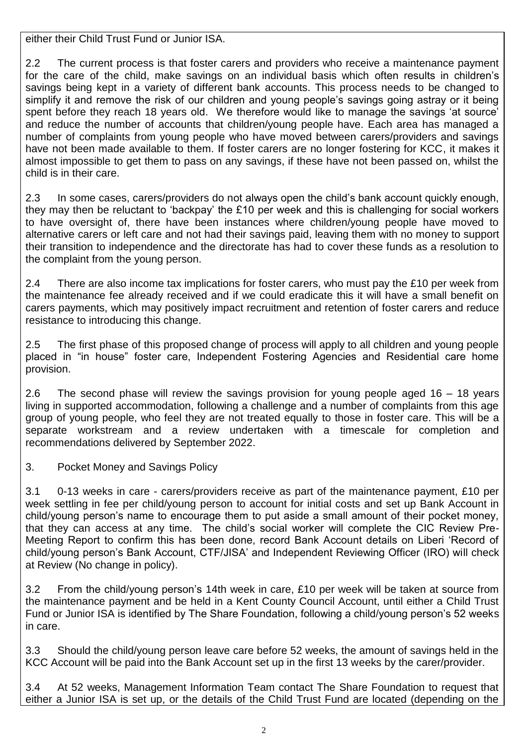either their Child Trust Fund or Junior ISA.

2.2 The current process is that foster carers and providers who receive a maintenance payment for the care of the child, make savings on an individual basis which often results in children's savings being kept in a variety of different bank accounts. This process needs to be changed to simplify it and remove the risk of our children and young people's savings going astray or it being spent before they reach 18 years old. We therefore would like to manage the savings 'at source' and reduce the number of accounts that children/young people have. Each area has managed a number of complaints from young people who have moved between carers/providers and savings have not been made available to them. If foster carers are no longer fostering for KCC, it makes it almost impossible to get them to pass on any savings, if these have not been passed on, whilst the child is in their care.

2.3 In some cases, carers/providers do not always open the child's bank account quickly enough, they may then be reluctant to 'backpay' the £10 per week and this is challenging for social workers to have oversight of, there have been instances where children/young people have moved to alternative carers or left care and not had their savings paid, leaving them with no money to support their transition to independence and the directorate has had to cover these funds as a resolution to the complaint from the young person.

2.4 There are also income tax implications for foster carers, who must pay the £10 per week from the maintenance fee already received and if we could eradicate this it will have a small benefit on carers payments, which may positively impact recruitment and retention of foster carers and reduce resistance to introducing this change.

2.5 The first phase of this proposed change of process will apply to all children and young people placed in "in house" foster care, Independent Fostering Agencies and Residential care home provision.

2.6 The second phase will review the savings provision for young people aged 16 – 18 years living in supported accommodation, following a challenge and a number of complaints from this age group of young people, who feel they are not treated equally to those in foster care. This will be a separate workstream and a review undertaken with a timescale for completion and recommendations delivered by September 2022.

3. Pocket Money and Savings Policy

3.1 0-13 weeks in care - carers/providers receive as part of the maintenance payment, £10 per week settling in fee per child/young person to account for initial costs and set up Bank Account in child/young person's name to encourage them to put aside a small amount of their pocket money, that they can access at any time. The child's social worker will complete the CIC Review Pre-Meeting Report to confirm this has been done, record Bank Account details on Liberi 'Record of child/young person's Bank Account, CTF/JISA' and Independent Reviewing Officer (IRO) will check at Review (No change in policy).

3.2 From the child/young person's 14th week in care, £10 per week will be taken at source from the maintenance payment and be held in a Kent County Council Account, until either a Child Trust Fund or Junior ISA is identified by The Share Foundation, following a child/young person's 52 weeks in care.

3.3 Should the child/young person leave care before 52 weeks, the amount of savings held in the KCC Account will be paid into the Bank Account set up in the first 13 weeks by the carer/provider.

3.4 At 52 weeks, Management Information Team contact The Share Foundation to request that either a Junior ISA is set up, or the details of the Child Trust Fund are located (depending on the